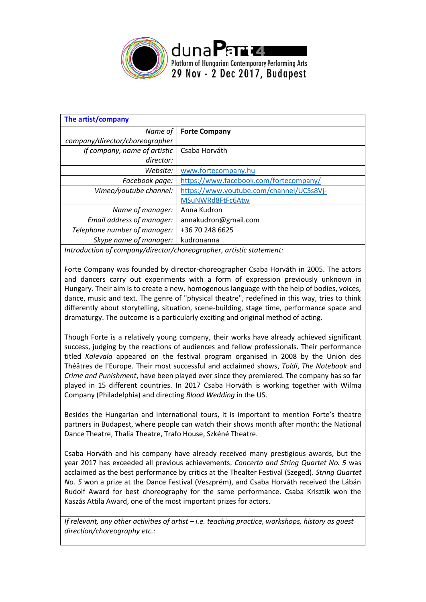

| The artist/company                                                                                                                                                                                                                |                                          |  |  |  |
|-----------------------------------------------------------------------------------------------------------------------------------------------------------------------------------------------------------------------------------|------------------------------------------|--|--|--|
| Name of                                                                                                                                                                                                                           | <b>Forte Company</b>                     |  |  |  |
| company/director/choreographer                                                                                                                                                                                                    |                                          |  |  |  |
| If company, name of artistic                                                                                                                                                                                                      | Csaba Horváth                            |  |  |  |
| director:                                                                                                                                                                                                                         |                                          |  |  |  |
| Website:                                                                                                                                                                                                                          | www.fortecompany.hu                      |  |  |  |
| Facebook page:                                                                                                                                                                                                                    | https://www.facebook.com/fortecompany/   |  |  |  |
| Vimeo/youtube channel:                                                                                                                                                                                                            | https://www.youtube.com/channel/UCSs8Vj- |  |  |  |
|                                                                                                                                                                                                                                   | MSuNWRd8FtFc6Atw                         |  |  |  |
| Name of manager:                                                                                                                                                                                                                  | Anna Kudron                              |  |  |  |
| Email address of manager:                                                                                                                                                                                                         | annakudron@gmail.com                     |  |  |  |
| Telephone number of manager:                                                                                                                                                                                                      | +36 70 248 6625                          |  |  |  |
| Skype name of manager:                                                                                                                                                                                                            | kudronanna                               |  |  |  |
| $\mathcal{L}$ , and the set of the set of the set of the set of the set of the set of the set of the set of the set of the set of the set of the set of the set of the set of the set of the set of the set of the set of the set |                                          |  |  |  |

*Introduction of company/director/choreographer, artistic statement:*

Forte Company was founded by director-choreographer Csaba Horváth in 2005. The actors and dancers carry out experiments with a form of expression previously unknown in Hungary. Their aim is to create a new, homogenous language with the help of bodies, voices, dance, music and text. The genre of "physical theatre", redefined in this way, tries to think differently about storytelling, situation, scene-building, stage time, performance space and dramaturgy. The outcome is a particularly exciting and original method of acting.

Though Forte is a relatively young company, their works have already achieved significant success, judging by the reactions of audiences and fellow professionals. Their performance titled *Kalevala* appeared on the festival program organised in 2008 by the Union des Théâtres de l'Europe. Their most successful and acclaimed shows, *Toldi*, *The Notebook* and *Crime and Punishment*, have been played ever since they premiered. The company has so far played in 15 different countries. In 2017 Csaba Horváth is working together with Wilma Company (Philadelphia) and directing *Blood Wedding* in the US.

Besides the Hungarian and international tours, it is important to mention Forte's theatre partners in Budapest, where people can watch their shows month after month: the National Dance Theatre, Thalia Theatre, Trafo House, Szkéné Theatre.

Csaba Horváth and his company have already received many prestigious awards, but the year 2017 has exceeded all previous achievements. *Concerto and String Quartet No. 5* was acclaimed as the best performance by critics at the Thealter Festival (Szeged). *String Quartet No. 5* won a prize at the Dance Festival (Veszprém), and Csaba Horváth received the Lábán Rudolf Award for best choreography for the same performance. Csaba Krisztik won the Kaszás Attila Award, one of the most important prizes for actors.

*If relevant, any other activities of artist – i.e. teaching practice, workshops, history as guest direction/choreography etc.:*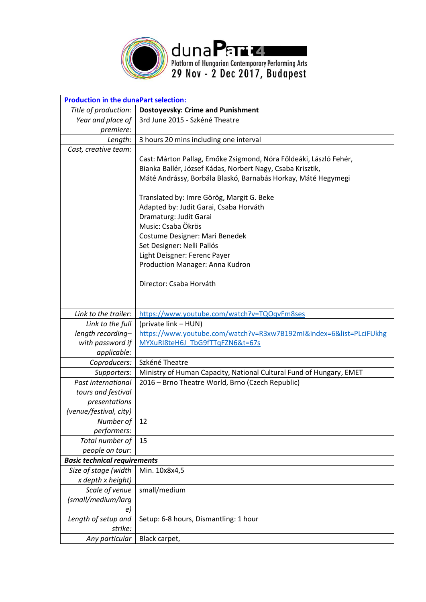

| <b>Production in the dunaPart selection:</b> |                                                                     |  |  |  |  |  |
|----------------------------------------------|---------------------------------------------------------------------|--|--|--|--|--|
| Title of production:                         | <b>Dostoyevsky: Crime and Punishment</b>                            |  |  |  |  |  |
| Year and place of                            | 3rd June 2015 - Szkéné Theatre                                      |  |  |  |  |  |
| premiere:                                    |                                                                     |  |  |  |  |  |
| Length:                                      | 3 hours 20 mins including one interval                              |  |  |  |  |  |
| Cast, creative team:                         |                                                                     |  |  |  |  |  |
|                                              | Cast: Márton Pallag, Emőke Zsigmond, Nóra Földeáki, László Fehér,   |  |  |  |  |  |
|                                              | Bianka Ballér, József Kádas, Norbert Nagy, Csaba Krisztik,          |  |  |  |  |  |
|                                              | Máté Andrássy, Borbála Blaskó, Barnabás Horkay, Máté Hegymegi       |  |  |  |  |  |
|                                              |                                                                     |  |  |  |  |  |
|                                              | Translated by: Imre Görög, Margit G. Beke                           |  |  |  |  |  |
|                                              | Adapted by: Judit Garai, Csaba Horváth                              |  |  |  |  |  |
|                                              | Dramaturg: Judit Garai                                              |  |  |  |  |  |
|                                              | Music: Csaba Ökrös                                                  |  |  |  |  |  |
|                                              | Costume Designer: Mari Benedek                                      |  |  |  |  |  |
|                                              | Set Designer: Nelli Pallós                                          |  |  |  |  |  |
|                                              | Light Deisgner: Ferenc Payer                                        |  |  |  |  |  |
|                                              | Production Manager: Anna Kudron                                     |  |  |  |  |  |
|                                              |                                                                     |  |  |  |  |  |
|                                              | Director: Csaba Horváth                                             |  |  |  |  |  |
|                                              |                                                                     |  |  |  |  |  |
|                                              |                                                                     |  |  |  |  |  |
| Link to the trailer:                         | https://www.youtube.com/watch?v=TQOqvFm8ses                         |  |  |  |  |  |
| Link to the full                             | (private link - HUN)                                                |  |  |  |  |  |
| length recording-                            | https://www.youtube.com/watch?v=R3xw7B192mI&index=6&list=PLciFUkhg  |  |  |  |  |  |
| with password if                             | MYXuRI8teH6J TbG9fTTqFZN6&t=67s                                     |  |  |  |  |  |
| applicable:                                  |                                                                     |  |  |  |  |  |
| Coproducers:                                 | Szkéné Theatre                                                      |  |  |  |  |  |
| Supporters:                                  | Ministry of Human Capacity, National Cultural Fund of Hungary, EMET |  |  |  |  |  |
| Past international                           | 2016 - Brno Theatre World, Brno (Czech Republic)                    |  |  |  |  |  |
| tours and festival                           |                                                                     |  |  |  |  |  |
| presentations                                |                                                                     |  |  |  |  |  |
| (venue/festival, city)                       |                                                                     |  |  |  |  |  |
| Number of                                    | 12                                                                  |  |  |  |  |  |
| performers:                                  |                                                                     |  |  |  |  |  |
| Total number of                              | 15                                                                  |  |  |  |  |  |
| people on tour:                              |                                                                     |  |  |  |  |  |
| <b>Basic technical requirements</b>          |                                                                     |  |  |  |  |  |
| Size of stage (width                         | Min. 10x8x4,5                                                       |  |  |  |  |  |
| x depth x height)                            |                                                                     |  |  |  |  |  |
| Scale of venue                               | small/medium                                                        |  |  |  |  |  |
| (small/medium/larg                           |                                                                     |  |  |  |  |  |
| e)                                           |                                                                     |  |  |  |  |  |
| Length of setup and                          | Setup: 6-8 hours, Dismantling: 1 hour                               |  |  |  |  |  |
| strike:                                      |                                                                     |  |  |  |  |  |
| Any particular                               | Black carpet,                                                       |  |  |  |  |  |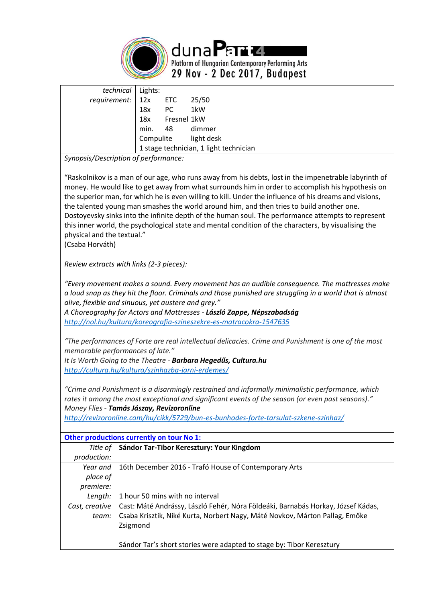

duna Parta Platform of Hungarian Contemporary Performing Arts 29 Nov - 2 Dec 2017, Budapest

| technical   Lights:                                               |                               |                                        |
|-------------------------------------------------------------------|-------------------------------|----------------------------------------|
| requirement: $\begin{vmatrix} 12x \\ 12x \end{vmatrix}$ ETC 25/50 |                               |                                        |
|                                                                   |                               |                                        |
|                                                                   | 18x PC 1kW<br>18x Fresnel 1kW |                                        |
|                                                                   |                               | min. 48 dimmer                         |
|                                                                   |                               | Compulite light desk                   |
|                                                                   |                               | 1 stage technician, 1 light technician |

*Synopsis/Description of performance:*

"Raskolnikov is a man of our age, who runs away from his debts, lost in the impenetrable labyrinth of money. He would like to get away from what surrounds him in order to accomplish his hypothesis on the superior man, for which he is even willing to kill. Under the influence of his dreams and visions, the talented young man smashes the world around him, and then tries to build another one. Dostoyevsky sinks into the infinite depth of the human soul. The performance attempts to represent this inner world, the psychological state and mental condition of the characters, by visualising the physical and the textual."

(Csaba Horváth)

*Review extracts with links (2-3 pieces):*

*"Every movement makes a sound. Every movement has an audible consequence. The mattresses make a loud snap as they hit the floor. Criminals and those punished are struggling in a world that is almost alive, flexible and sinuous, yet austere and grey."*

*A Choreography for Actors and Mattresses - László Zappe, Népszabadság <http://nol.hu/kultura/koreografia-szineszekre-es-matracokra-1547635>*

*"The performances of Forte are real intellectual delicacies. Crime and Punishment is one of the most memorable performances of late."*

*It Is Worth Going to the Theatre - Barbara Hegedűs, Cultura.hu <http://cultura.hu/kultura/szinhazba-jarni-erdemes/>*

*"Crime and Punishment is a disarmingly restrained and informally minimalistic performance, which rates it among the most exceptional and significant events of the season (or even past seasons)." Money Flies - Tamás Jászay, Revizoronline*

*<http://revizoronline.com/hu/cikk/5729/bun-es-bunhodes-forte-tarsulat-szkene-szinhaz/>*

| Other productions currently on tour No 1: |                                                                                  |  |  |  |
|-------------------------------------------|----------------------------------------------------------------------------------|--|--|--|
| Title of 1                                | Sándor Tar-Tibor Keresztury: Your Kingdom                                        |  |  |  |
| production:                               |                                                                                  |  |  |  |
| Year and                                  | 16th December 2016 - Trafó House of Contemporary Arts                            |  |  |  |
| place of                                  |                                                                                  |  |  |  |
| premiere:                                 |                                                                                  |  |  |  |
| Length:                                   | 1 hour 50 mins with no interval                                                  |  |  |  |
| Cast, creative                            | Cast: Máté Andrássy, László Fehér, Nóra Földeáki, Barnabás Horkay, József Kádas, |  |  |  |
| team:                                     | Csaba Krisztik, Niké Kurta, Norbert Nagy, Máté Novkov, Márton Pallag, Emőke      |  |  |  |
|                                           | Zsigmond                                                                         |  |  |  |
|                                           |                                                                                  |  |  |  |
|                                           | Sándor Tar's short stories were adapted to stage by: Tibor Keresztury            |  |  |  |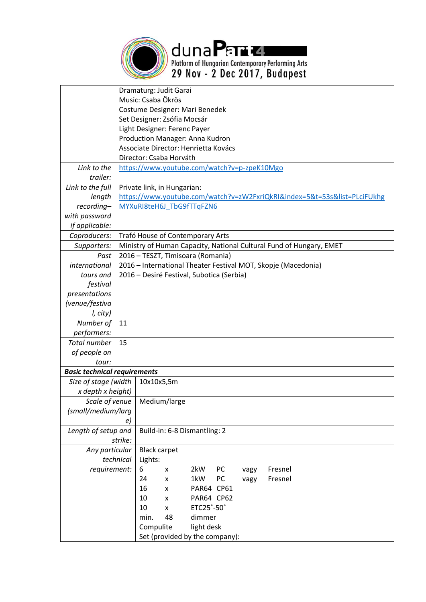

|                      | Dramaturg: Judit Garai               |            |                             |                                             |    |      |                                                                          |  |
|----------------------|--------------------------------------|------------|-----------------------------|---------------------------------------------|----|------|--------------------------------------------------------------------------|--|
|                      | Music: Csaba Ökrös                   |            |                             |                                             |    |      |                                                                          |  |
|                      | Costume Designer: Mari Benedek       |            |                             |                                             |    |      |                                                                          |  |
|                      | Set Designer: Zsófia Mocsár          |            |                             |                                             |    |      |                                                                          |  |
|                      | Light Designer: Ferenc Payer         |            |                             |                                             |    |      |                                                                          |  |
|                      | Production Manager: Anna Kudron      |            |                             |                                             |    |      |                                                                          |  |
|                      | Associate Director: Henrietta Kovács |            |                             |                                             |    |      |                                                                          |  |
|                      | Director: Csaba Horváth              |            |                             |                                             |    |      |                                                                          |  |
| Link to the          |                                      |            |                             | https://www.youtube.com/watch?v=p-zpeK10Mgo |    |      |                                                                          |  |
| trailer:             |                                      |            |                             |                                             |    |      |                                                                          |  |
| Link to the full     |                                      |            | Private link, in Hungarian: |                                             |    |      |                                                                          |  |
| length               |                                      |            |                             |                                             |    |      | https://www.youtube.com/watch?v=zW2FxriQkRI&index=5&t=53s&list=PLciFUkhg |  |
| recording-           |                                      |            |                             | MYXuRI8teH6J TbG9fTTqFZN6                   |    |      |                                                                          |  |
| with password        |                                      |            |                             |                                             |    |      |                                                                          |  |
| if applicable:       |                                      |            |                             |                                             |    |      |                                                                          |  |
| Coproducers:         |                                      |            |                             | Trafó House of Contemporary Arts            |    |      |                                                                          |  |
| Supporters:          |                                      |            |                             |                                             |    |      | Ministry of Human Capacity, National Cultural Fund of Hungary, EMET      |  |
| Past                 |                                      |            |                             | 2016 - TESZT, Timisoara (Romania)           |    |      |                                                                          |  |
| international        |                                      |            |                             |                                             |    |      |                                                                          |  |
|                      |                                      |            |                             | 2016 – Desiré Festival, Subotica (Serbia)   |    |      | 2016 – International Theater Festival MOT, Skopje (Macedonia)            |  |
| tours and            |                                      |            |                             |                                             |    |      |                                                                          |  |
| festival             |                                      |            |                             |                                             |    |      |                                                                          |  |
| presentations        |                                      |            |                             |                                             |    |      |                                                                          |  |
| (venue/festiva       |                                      |            |                             |                                             |    |      |                                                                          |  |
| I, city)             |                                      |            |                             |                                             |    |      |                                                                          |  |
| Number of            | 11                                   |            |                             |                                             |    |      |                                                                          |  |
| performers:          |                                      |            |                             |                                             |    |      |                                                                          |  |
| <b>Total number</b>  | 15                                   |            |                             |                                             |    |      |                                                                          |  |
| of people on         |                                      |            |                             |                                             |    |      |                                                                          |  |
| tour:                |                                      |            |                             |                                             |    |      |                                                                          |  |
|                      | <b>Basic technical requirements</b>  |            |                             |                                             |    |      |                                                                          |  |
| Size of stage (width |                                      | 10x10x5,5m |                             |                                             |    |      |                                                                          |  |
| x depth x height)    |                                      |            |                             |                                             |    |      |                                                                          |  |
| Scale of venue       | Medium/large                         |            |                             |                                             |    |      |                                                                          |  |
| (small/medium/larg   |                                      |            |                             |                                             |    |      |                                                                          |  |
|                      | e)                                   |            |                             |                                             |    |      |                                                                          |  |
| Length of setup and  | Build-in: 6-8 Dismantling: 2         |            |                             |                                             |    |      |                                                                          |  |
|                      | strike:                              |            |                             |                                             |    |      |                                                                          |  |
| Any particular       | <b>Black carpet</b>                  |            |                             |                                             |    |      |                                                                          |  |
|                      | technical<br>Lights:                 |            |                             |                                             |    |      |                                                                          |  |
| requirement:         |                                      | 6          | x                           | 2kW                                         | PC | vagy | Fresnel                                                                  |  |
|                      |                                      | 24         | x                           | 1kW                                         | PC | vagy | Fresnel                                                                  |  |
|                      |                                      | 16         | X                           | PAR64 CP61                                  |    |      |                                                                          |  |
|                      |                                      | 10         | X                           | PAR64 CP62                                  |    |      |                                                                          |  |
|                      |                                      | 10         | x                           | ETC25°-50°                                  |    |      |                                                                          |  |
|                      |                                      | min.       | 48                          | dimmer                                      |    |      |                                                                          |  |
|                      |                                      | Compulite  |                             | light desk                                  |    |      |                                                                          |  |
|                      | Set (provided by the company):       |            |                             |                                             |    |      |                                                                          |  |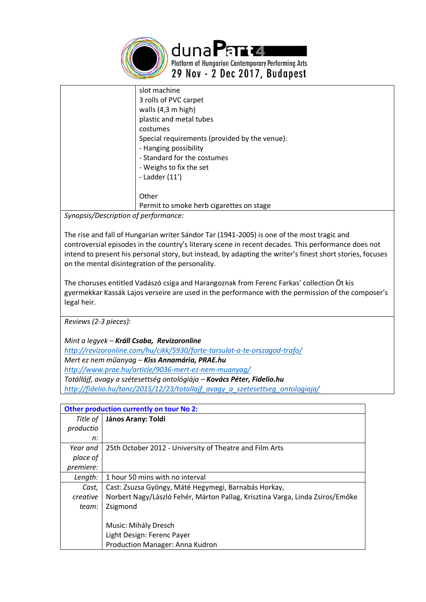

dunaPart4 Platform of Hungarian Contemporary Performing Arts 29 Nov - 2 Dec 2017, Budapest

| slot machine                                  |
|-----------------------------------------------|
| 3 rolls of PVC carpet                         |
| walls (4,3 m high)                            |
| plastic and metal tubes                       |
| costumes                                      |
| Special requirements (provided by the venue): |
| - Hanging possibility                         |
| - Standard for the costumes                   |
| - Weighs to fix the set                       |
| - Ladder (11')                                |
|                                               |
| Other                                         |
| Permit to smoke herb cigarettes on stage      |

*Synopsis/Description of performance:*

The rise and fall of Hungarian writer Sándor Tar (1941-2005) is one of the most tragic and controversial episodes in the country's literary scene in recent decades. This performance does not intend to present his personal story, but instead, by adapting the writer's finest short stories, focuses on the mental disintegration of the personality.

The choruses entitled Vadászó csiga and Harangoznak from Ferenc Farkas' collection Öt kis gyermekkar Kassák Lajos verseire are used in the performance with the permission of the composer's legal heir.

*Reviews (2-3 pieces):* 

*Mint a legyek – Králl Csaba, Revizoronline <http://revizoronline.com/hu/cikk/5930/forte-tarsulat-a-te-orszagod-trafo/> Mert ez nem műanyag – Kiss Annamária, PRAE.hu <http://www.prae.hu/article/9036-mert-ez-nem-muanyag/> Totállájf, avagy a szétesettség ontológiája – Kovács Péter, Fidelio.hu [http://fidelio.hu/tanc/2015/12/23/totallajf\\_avagy\\_a\\_szetesettseg\\_ontologiaja/](http://fidelio.hu/tanc/2015/12/23/totallajf_avagy_a_szetesettseg_ontologiaja/)*

|           | Other production currently on tour No 2:                                      |  |  |  |  |
|-----------|-------------------------------------------------------------------------------|--|--|--|--|
| Title of  | János Arany: Toldi                                                            |  |  |  |  |
| productio |                                                                               |  |  |  |  |
| n:        |                                                                               |  |  |  |  |
| Year and  | 25th October 2012 - University of Theatre and Film Arts                       |  |  |  |  |
| place of  |                                                                               |  |  |  |  |
| premiere: |                                                                               |  |  |  |  |
| Length:   | 1 hour 50 mins with no interval                                               |  |  |  |  |
| Cast,     | Cast: Zsuzsa Gyöngy, Máté Hegymegi, Barnabás Horkay,                          |  |  |  |  |
| creative  | Norbert Nagy/László Fehér, Márton Pallag, Krisztina Varga, Linda Zsíros/Emőke |  |  |  |  |
| team:     | Zsigmond                                                                      |  |  |  |  |
|           |                                                                               |  |  |  |  |
|           | Music: Mihály Dresch                                                          |  |  |  |  |
|           | Light Design: Ferenc Payer                                                    |  |  |  |  |
|           | Production Manager: Anna Kudron                                               |  |  |  |  |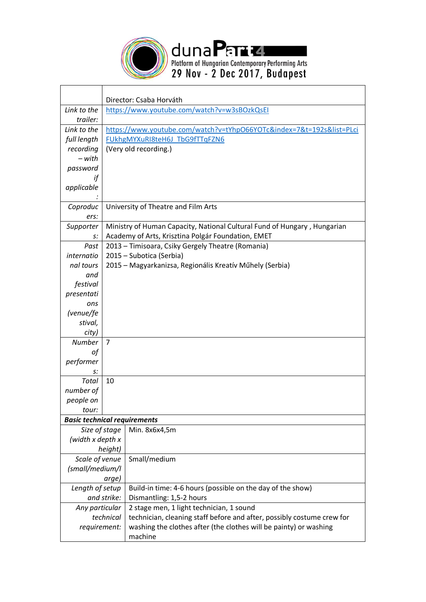

| Link to the            | Director: Csaba Horváth                     |                                                                              |  |  |  |  |
|------------------------|---------------------------------------------|------------------------------------------------------------------------------|--|--|--|--|
| trailer:               | https://www.youtube.com/watch?v=w3sBOzkQsEI |                                                                              |  |  |  |  |
| Link to the            |                                             | https://www.youtube.com/watch?v=tYhpO66YOTc&index=7&t=192s&list=PLci         |  |  |  |  |
| full length            |                                             | FUkhgMYXuRI8teH6J TbG9fTTqFZN6                                               |  |  |  |  |
| recording              |                                             | (Very old recording.)                                                        |  |  |  |  |
| – with                 |                                             |                                                                              |  |  |  |  |
| password               |                                             |                                                                              |  |  |  |  |
| if                     |                                             |                                                                              |  |  |  |  |
| applicable             |                                             |                                                                              |  |  |  |  |
|                        |                                             |                                                                              |  |  |  |  |
| Coproduc               |                                             | University of Theatre and Film Arts                                          |  |  |  |  |
| ers:                   |                                             |                                                                              |  |  |  |  |
| Supporter              |                                             | Ministry of Human Capacity, National Cultural Fund of Hungary, Hungarian     |  |  |  |  |
| s:                     |                                             | Academy of Arts, Krisztina Polgár Foundation, EMET                           |  |  |  |  |
| Past                   |                                             | 2013 - Timisoara, Csiky Gergely Theatre (Romania)                            |  |  |  |  |
| internatio             |                                             | 2015 - Subotica (Serbia)                                                     |  |  |  |  |
| nal tours              |                                             | 2015 – Magyarkanizsa, Regionális Kreatív Műhely (Serbia)                     |  |  |  |  |
| and                    |                                             |                                                                              |  |  |  |  |
| festival               |                                             |                                                                              |  |  |  |  |
| presentati             |                                             |                                                                              |  |  |  |  |
| ons                    |                                             |                                                                              |  |  |  |  |
| (venue/fe              |                                             |                                                                              |  |  |  |  |
| stival,                |                                             |                                                                              |  |  |  |  |
| city)<br><b>Number</b> | $\overline{7}$                              |                                                                              |  |  |  |  |
| οf                     |                                             |                                                                              |  |  |  |  |
| performer              |                                             |                                                                              |  |  |  |  |
| s:                     |                                             |                                                                              |  |  |  |  |
| Total                  | 10                                          |                                                                              |  |  |  |  |
| number of              |                                             |                                                                              |  |  |  |  |
| people on              |                                             |                                                                              |  |  |  |  |
| tour:                  |                                             |                                                                              |  |  |  |  |
|                        | <b>Basic technical requirements</b>         |                                                                              |  |  |  |  |
| Size of stage          |                                             | Min. 8x6x4,5m                                                                |  |  |  |  |
| (width x depth x       |                                             |                                                                              |  |  |  |  |
| height)                |                                             |                                                                              |  |  |  |  |
| Scale of venue         |                                             | Small/medium                                                                 |  |  |  |  |
| (small/medium/l        |                                             |                                                                              |  |  |  |  |
| arge)                  |                                             |                                                                              |  |  |  |  |
| Length of setup        |                                             | Build-in time: 4-6 hours (possible on the day of the show)                   |  |  |  |  |
|                        | and strike:                                 | Dismantling: 1,5-2 hours                                                     |  |  |  |  |
| Any particular         |                                             | 2 stage men, 1 light technician, 1 sound                                     |  |  |  |  |
|                        | technical                                   | technician, cleaning staff before and after, possibly costume crew for       |  |  |  |  |
| requirement:           |                                             | washing the clothes after (the clothes will be painty) or washing<br>machine |  |  |  |  |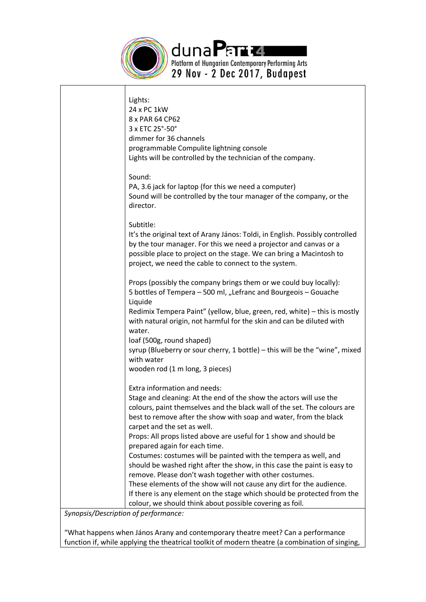

| It's the original text of Arany János: Toldi, in English. Possibly controlled |
|-------------------------------------------------------------------------------|
|                                                                               |
| Redimix Tempera Paint" (yellow, blue, green, red, white) - this is mostly     |
| syrup (Blueberry or sour cherry, 1 bottle) - this will be the "wine", mixed   |
|                                                                               |
| colours, paint themselves and the black wall of the set. The colours are      |
|                                                                               |
| should be washed right after the show, in this case the paint is easy to      |
| If there is any element on the stage which should be protected from the       |
|                                                                               |

*Synopsis/Description of performance:*

"What happens when János Arany and contemporary theatre meet? Can a performance function if, while applying the theatrical toolkit of modern theatre (a combination of singing,